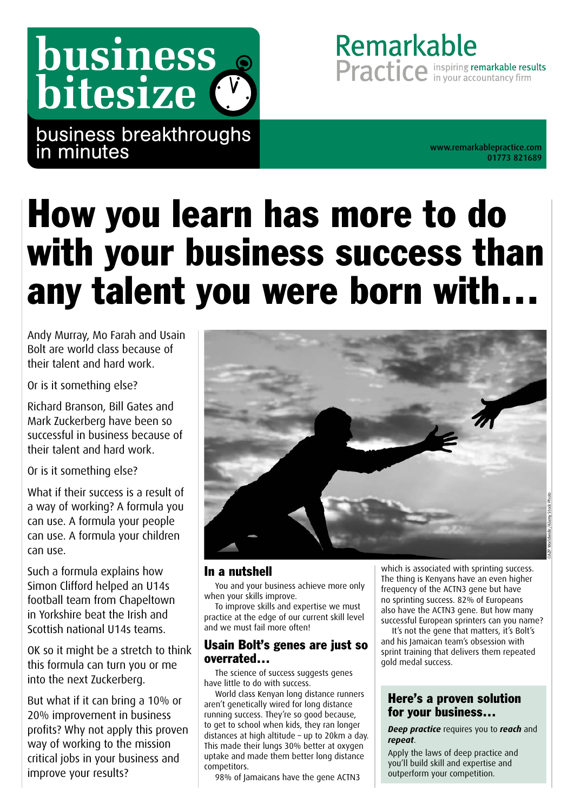business bitesize (

business breakthroughs in minutes

01773 821689

Remarkable

Practice in your accountancy firm

# How you learn has more to do with your business success than any talent you were born with…

Andy Murray, Mo Farah and Usain Bolt are world class because of their talent and hard work.

Or is it something else?

Richard Branson, Bill Gates and Mark Zuckerberg have been so successful in business because of their talent and hard work.

Or is it something else?

What if their success is a result of a way of working? A formula you can use. A formula your people can use. A formula your children can use.

Such a formula explains how Simon Clifford helped an U14s football team from Chapeltown in Yorkshire beat the Irish and Scottish national U14s teams.

OK so it might be a stretch to think this formula can turn you or me into the next Zuckerberg.

But what if it can bring a 10% or 20% improvement in business profits? Why not apply this proven way of working to the mission critical jobs in your business and improve your results?



#### In a nutshell

You and your business achieve more only when your skills improve.

To improve skills and expertise we must practice at the edge of our current skill level and we must fail more often!

#### Usain Bolt's genes are just so overrated…

The science of success suggests genes have little to do with success.

World class Kenyan long distance runners aren't genetically wired for long distance running success. They're so good because, to get to school when kids, they ran longer distances at high altitude – up to 20km a day. This made their lungs 30% better at oxygen uptake and made them better long distance competitors.

98% of Jamaicans have the gene ACTN3

which is associated with sprinting success. The thing is Kenyans have an even higher frequency of the ACTN3 gene but have no sprinting success. 82% of Europeans also have the ACTN3 gene. But how many successful European sprinters can you name?

It's not the gene that matters, it's Bolt's and his Jamaican team's obsession with sprint training that delivers them repeated gold medal success.

#### Here's a proven solution for your business…

*Deep practice* requires you to *reach* and *repeat*.

Apply the laws of deep practice and you'll build skill and expertise and outperform your competition.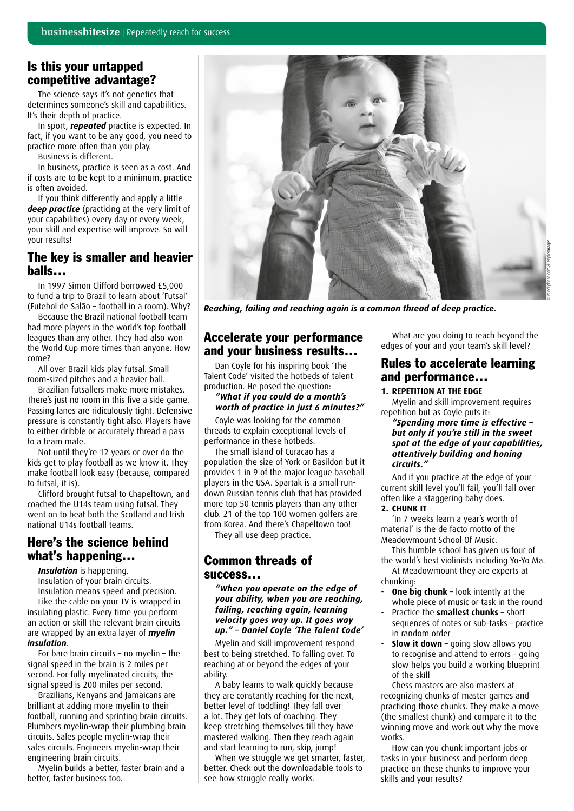#### Is this your untapped competitive advantage?

The science says it's not genetics that determines someone's skill and capabilities. It's their depth of practice.

In sport, *repeated* practice is expected. In fact, if you want to be any good, you need to practice more often than you play.

Business is different.

In business, practice is seen as a cost. And if costs are to be kept to a minimum, practice is often avoided.

If you think differently and apply a little *deep practice* (practicing at the very limit of your capabilities) every day or every week, your skill and expertise will improve. So will your results!

#### The key is smaller and heavier balls…

In 1997 Simon Clifford borrowed £5,000 to fund a trip to Brazil to learn about 'Futsal' (Futebol de Salão – football in a room). Why?

Because the Brazil national football team had more players in the world's top football leagues than any other. They had also won the World Cup more times than anyone. How come?

All over Brazil kids play futsal. Small room-sized pitches and a heavier ball.

Brazilian futsallers make more mistakes. There's just no room in this five a side game. Passing lanes are ridiculously tight. Defensive pressure is constantly tight also. Players have to either dribble or accurately thread a pass to a team mate.

Not until they're 12 years or over do the kids get to play football as we know it. They make football look easy (because, compared to futsal, it is).

Clifford brought futsal to Chapeltown, and coached the U14s team using futsal. They went on to beat both the Scotland and Irish national U14s football teams.

#### Here's the science behind what's happening…

*Insulation* is happening.

Insulation of your brain circuits. Insulation means speed and precision. Like the cable on your TV is wrapped in insulating plastic. Every time you perform an action or skill the relevant brain circuits are wrapped by an extra layer of *myelin insulation*.

For bare brain circuits – no myelin – the signal speed in the brain is 2 miles per second. For fully myelinated circuits, the signal speed is 200 miles per second.

Brazilians, Kenyans and Jamaicans are brilliant at adding more myelin to their football, running and sprinting brain circuits. Plumbers myelin-wrap their plumbing brain circuits. Sales people myelin-wrap their sales circuits. Engineers myelin-wrap their engineering brain circuits.

Myelin builds a better, faster brain and a better, faster business too.



*Reaching, failing and reaching again is a common thread of deep practice.*

#### Accelerate your performance and your business results…

Dan Coyle for his inspiring book 'The Talent Code' visited the hotbeds of talent production. He posed the question:

#### *"What if you could do a month's worth of practice in just 6 minutes?"*

Coyle was looking for the common threads to explain exceptional levels of performance in these hotbeds.

The small island of Curacao has a population the size of York or Basildon but it provides 1 in 9 of the major league baseball players in the USA. Spartak is a small rundown Russian tennis club that has provided more top 50 tennis players than any other club. 21 of the top 100 women golfers are from Korea. And there's Chapeltown too! They all use deep practice.

#### Common threads of success…

*"When you operate on the edge of your ability, when you are reaching, failing, reaching again, learning velocity goes way up. It goes way up." – Daniel Coyle 'The Talent Code'*

Myelin and skill improvement respond best to being stretched. To falling over. To reaching at or beyond the edges of your ability.

A baby learns to walk quickly because they are constantly reaching for the next, better level of toddling! They fall over a lot. They get lots of coaching. They keep stretching themselves till they have mastered walking. Then they reach again and start learning to run, skip, jump!

When we struggle we get smarter, faster, better. Check out the downloadable tools to see how struggle really works.

What are you doing to reach beyond the edges of your and your team's skill level?

#### Rules to accelerate learning and performance…

**1. REPETITION AT THE EDGE** Myelin and skill improvement requires repetition but as Coyle puts it:

*"Spending more time is effective – but only if you're still in the sweet spot at the edge of your capabilities, attentively building and honing circuits."*

And if you practice at the edge of your current skill level you'll fail, you'll fall over often like a staggering baby does.

#### **2. CHUNK IT**

'In 7 weeks learn a year's worth of material' is the de facto motto of the Meadowmount School Of Music.

This humble school has given us four of the world's best violinists including Yo-Yo Ma. At Meadowmount they are experts at

chunking:

- **One big chunk** look intently at the whole piece of music or task in the round
- Practice the **smallest chunks** short sequences of notes or sub-tasks – practice in random order
- **Slow it down** going slow allows you to recognise and attend to errors – going slow helps you build a working blueprint of the skill

Chess masters are also masters at recognizing chunks of master games and practicing those chunks. They make a move (the smallest chunk) and compare it to the winning move and work out why the move works.

How can you chunk important jobs or tasks in your business and perform deep practice on these chunks to improve your skills and your results?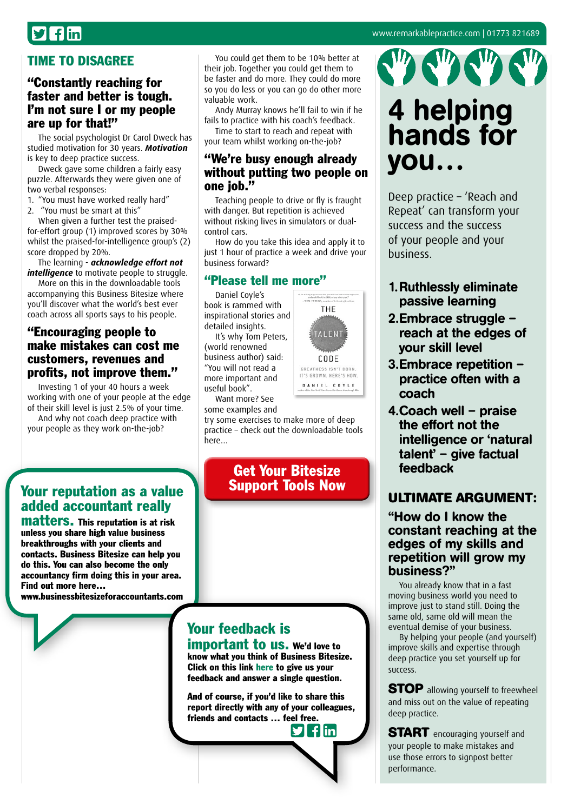## $\mathbf{I}$  flin

#### [www.remarkablepractice.com](http://www.remarkablepractice.com) | 01773 821689

#### TIME TO DISAGREE

#### "Constantly reaching for faster and better is tough. I'm not sure I or my people are up for that!"

The social psychologist Dr Carol Dweck has studied motivation for 30 years. *Motivation* is key to deep practice success.

Dweck gave some children a fairly easy puzzle. Afterwards they were given one of two verbal responses:

1. "You must have worked really hard"

2. "You must be smart at this"

When given a further test the praisedfor-effort group (1) improved scores by 30% whilst the praised-for-intelligence group's (2) score dropped by 20%.

The learning - *acknowledge effort not intelligence* to motivate people to struggle.

More on this in the downloadable tools accompanying this Business Bitesize where you'll discover what the world's best ever coach across all sports says to his people.

#### "Encouraging people to make mistakes can cost me customers, revenues and profits, not improve them."

Investing 1 of your 40 hours a week working with one of your people at the edge of their skill level is just 2.5% of your time.

And why not coach deep practice with your people as they work on-the-job?

You could get them to be 10% better at their job. Together you could get them to be faster and do more. They could do more so you do less or you can go do other more valuable work.

Andy Murray knows he'll fail to win if he fails to practice with his coach's feedback.

Time to start to reach and repeat with your team whilst working on-the-job?

#### "We're busy enough already without putting two people on one iob."

Teaching people to drive or fly is fraught with danger. But repetition is achieved without risking lives in simulators or dualcontrol cars.

How do you take this idea and apply it to just 1 hour of practice a week and drive your business forward?

#### "Please tell me more"

Daniel Coyle's book is rammed with inspirational stories and detailed insights.

It's why Tom Peters, (world renowned business author) said: "You will not read a more important and useful book".

Want more? See some examples and

try some exercises to make more of deep practice – check out the downloadable tools here…

> Get Your Bitesize [Support Tools Now](http://bit.ly/reachsuccesstls)

#### Your reputation as a value added accountant really matters. This reputation is at risk

unless you share high value business breakthroughs with your clients and contacts. Business Bitesize can help you do this. You can also become the only accountancy firm doing this in your area. Find out more here…

[www.businessbitesizeforaccountants.com](http://www.businessbitesizeforaccountants.com)

### Your feedback is

important to us. We'd love to know what you think of Business Bitesize. Click on this link [here](https://www.surveymonkey.com/s/BusinessBitesize) to give us your feedback and answer a single question.

And of course, if you'd like to share this report directly with any of your colleagues, friends and contacts … f[eel fr](http://twitter.com/intent/tweet?text=Check%20out%20this%20library%20of%20great%20business%20insights%20http://www.businessbitesize.com/remarkable_practice)[ee.](http://www.facebook.com/sharer/sharer.phpu=http://www.businessbitesize.com/remarkable_practice)

flin



## 4 helping hands for you…

Deep practice – 'Reach and Repeat' can transform your success and the success of your people and your business.

- 1.Ruthlessly eliminate passive learning
- 2.Embrace struggle reach at the edges of your skill level
- 3.Embrace repetition practice often with a coach
- 4.Coach well praise the effort not the intelligence or 'natural talent' – give factual feedback

#### **ULTIMATE ARGUMENT:**

#### "How do I know the constant reaching at the edges of my skills and repetition will grow my business?"

You already know that in a fast moving business world you need to improve just to stand still. Doing the same old, same old will mean the eventual demise of your business.

By helping your people (and yourself) improve skills and expertise through deep practice you set yourself up for success.

**STOP** allowing yourself to freewheel and miss out on the value of repeating deep practice.

**START** encouraging yourself and your people to make mistakes and use those errors to signpost better performance.